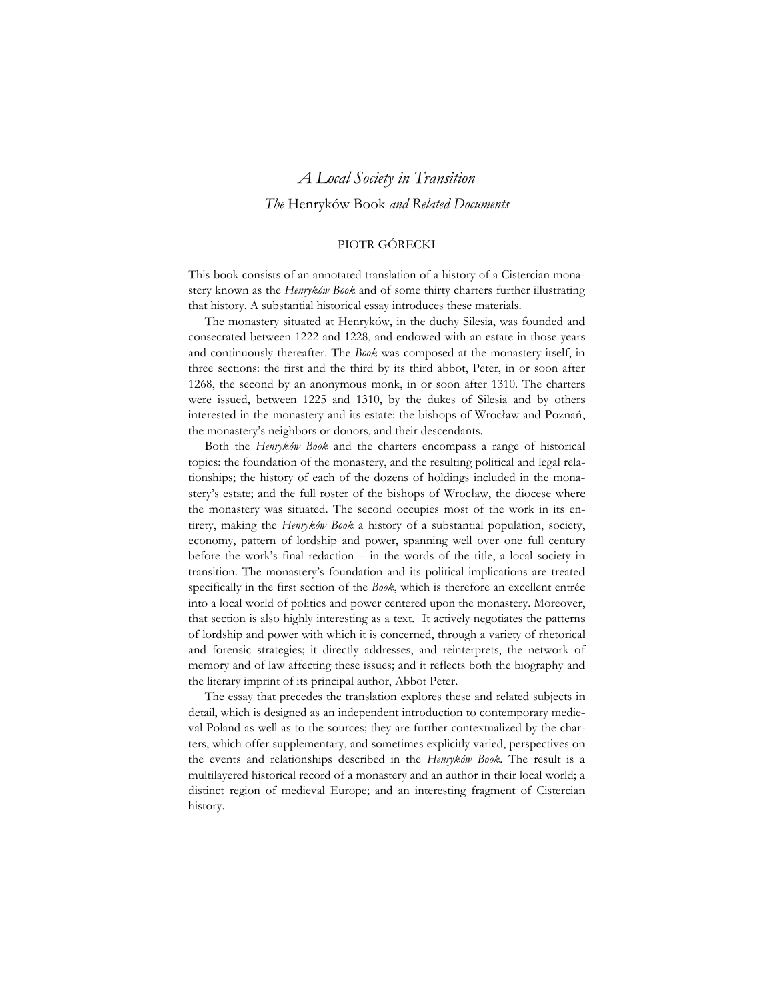# *A Local Society in Transition The* Henryków Book *and Related Documents*

### PIOTR GÓRECKI

This book consists of an annotated translation of a history of a Cistercian monastery known as the *Henryków Book* and of some thirty charters further illustrating that history. A substantial historical essay introduces these materials.

The monastery situated at Henryków, in the duchy Silesia, was founded and consecrated between 1222 and 1228, and endowed with an estate in those years and continuously thereafter. The *Book* was composed at the monastery itself, in three sections: the first and the third by its third abbot, Peter, in or soon after 1268, the second by an anonymous monk, in or soon after 1310. The charters were issued, between 1225 and 1310, by the dukes of Silesia and by others interested in the monastery and its estate: the bishops of Wrocław and Poznań, the monastery's neighbors or donors, and their descendants.

Both the *Henryków Book* and the charters encompass a range of historical topics: the foundation of the monastery, and the resulting political and legal relationships; the history of each of the dozens of holdings included in the monastery's estate; and the full roster of the bishops of Wrocław, the diocese where the monastery was situated. The second occupies most of the work in its entirety, making the *Henryków Book* a history of a substantial population, society, economy, pattern of lordship and power, spanning well over one full century before the work's final redaction – in the words of the title, a local society in transition. The monastery's foundation and its political implications are treated specifically in the first section of the *Book*, which is therefore an excellent entrée into a local world of politics and power centered upon the monastery. Moreover, that section is also highly interesting as a text. It actively negotiates the patterns of lordship and power with which it is concerned, through a variety of rhetorical and forensic strategies; it directly addresses, and reinterprets, the network of memory and of law affecting these issues; and it reflects both the biography and the literary imprint of its principal author, Abbot Peter.

The essay that precedes the translation explores these and related subjects in detail, which is designed as an independent introduction to contemporary medieval Poland as well as to the sources; they are further contextualized by the charters, which offer supplementary, and sometimes explicitly varied, perspectives on the events and relationships described in the *Henryków Book*. The result is a multilayered historical record of a monastery and an author in their local world; a distinct region of medieval Europe; and an interesting fragment of Cistercian history.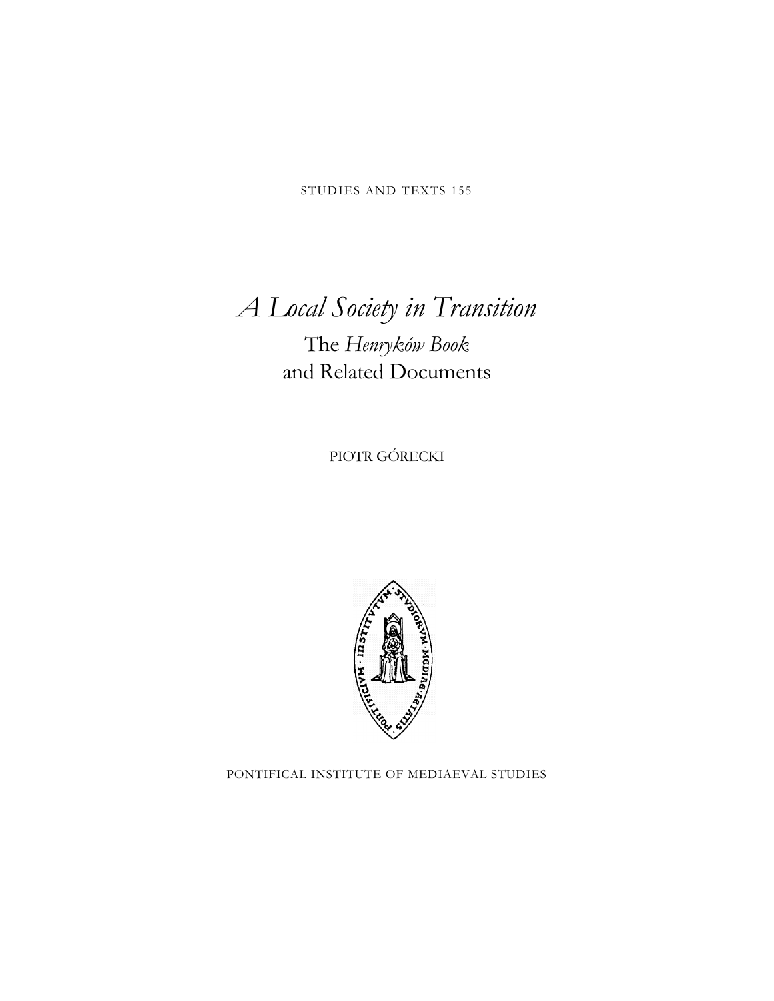STUDIES AND TEXTS 155

# *A Local Society in Transition*

# The *Henryków Book* and Related Documents

PIOTR GÓRECKI



PONTIFICAL INSTITUTE OF MEDIAEVAL STUDIES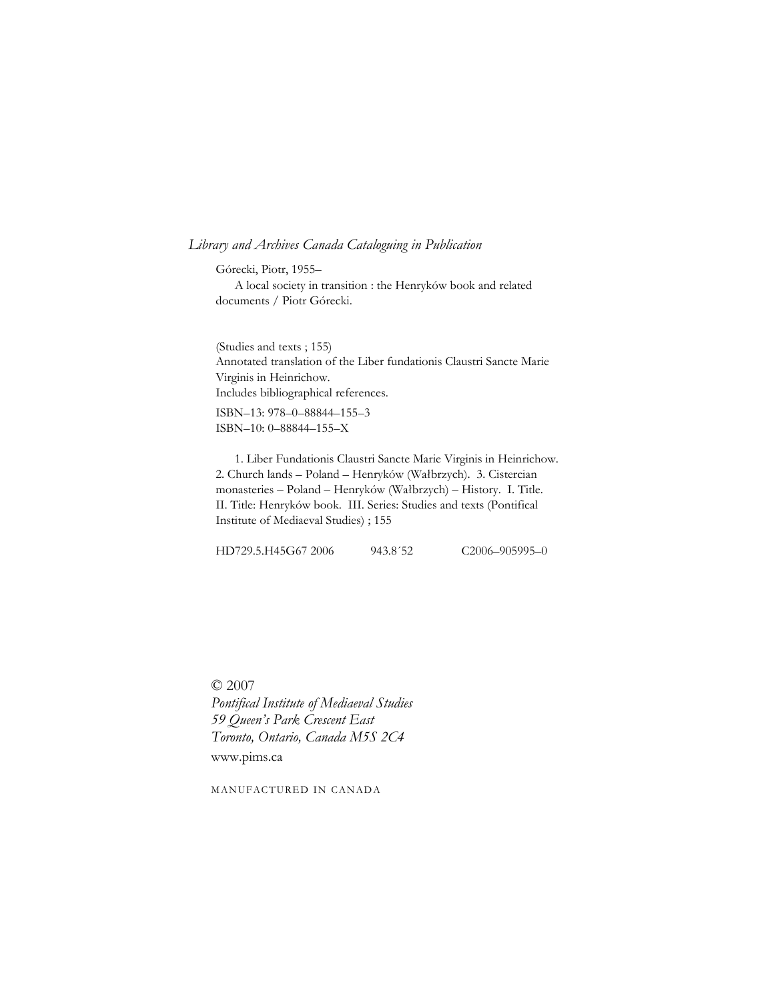### *Library and Archives Canada Cataloguing in Publication*

Górecki, Piotr, 1955– A local society in transition : the Henryków book and related documents / Piotr Górecki.

(Studies and texts ; 155) Annotated translation of the Liber fundationis Claustri Sancte Marie Virginis in Heinrichow. Includes bibliographical references.

ISBN–13: 978–0–88844–155–3 ISBN–10: 0–88844–155–X

 1. Liber Fundationis Claustri Sancte Marie Virginis in Heinrichow. 2. Church lands – Poland – Henryków (Wałbrzych). 3. Cistercian monasteries – Poland – Henryków (Wałbrzych) – History. I. Title. II. Title: Henryków book. III. Series: Studies and texts (Pontifical Institute of Mediaeval Studies) ; 155

HD729.5.H45G67 2006 943.8'52 C2006-905995-0

© 2007 *Pontifical Institute of Mediaeval Studies 59 Queen's Park Crescent East Toronto, Ontario, Canada M5S 2C4* www.pims.ca

MANUFACTURED IN CANADA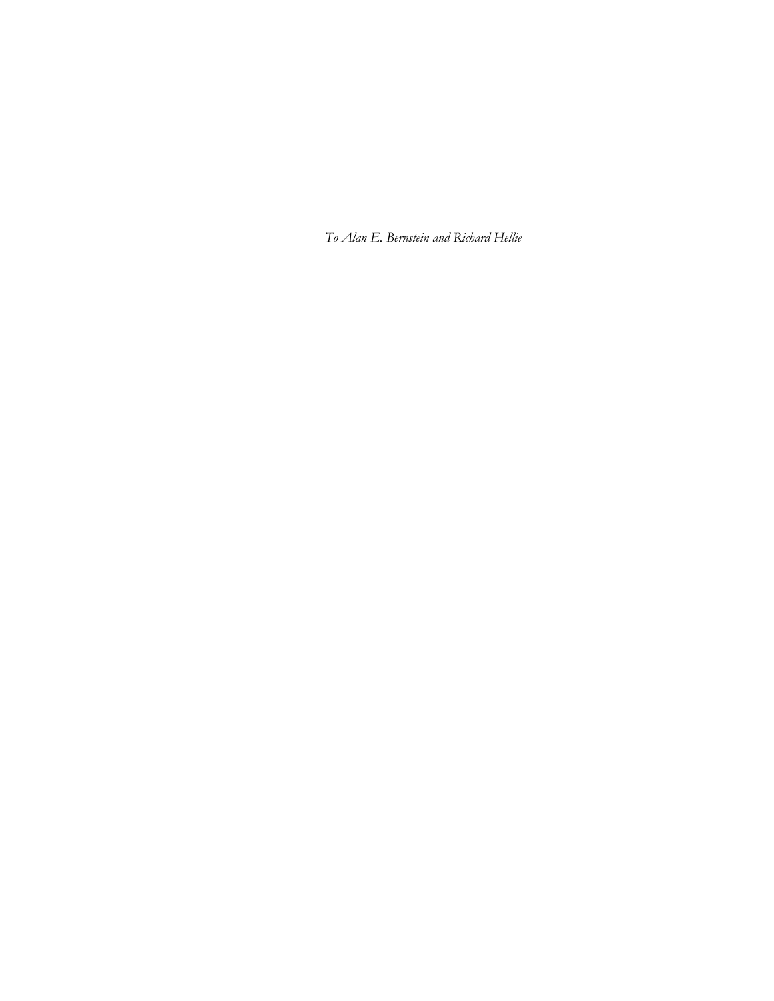*To Alan E. Bernstein and Richard Hellie*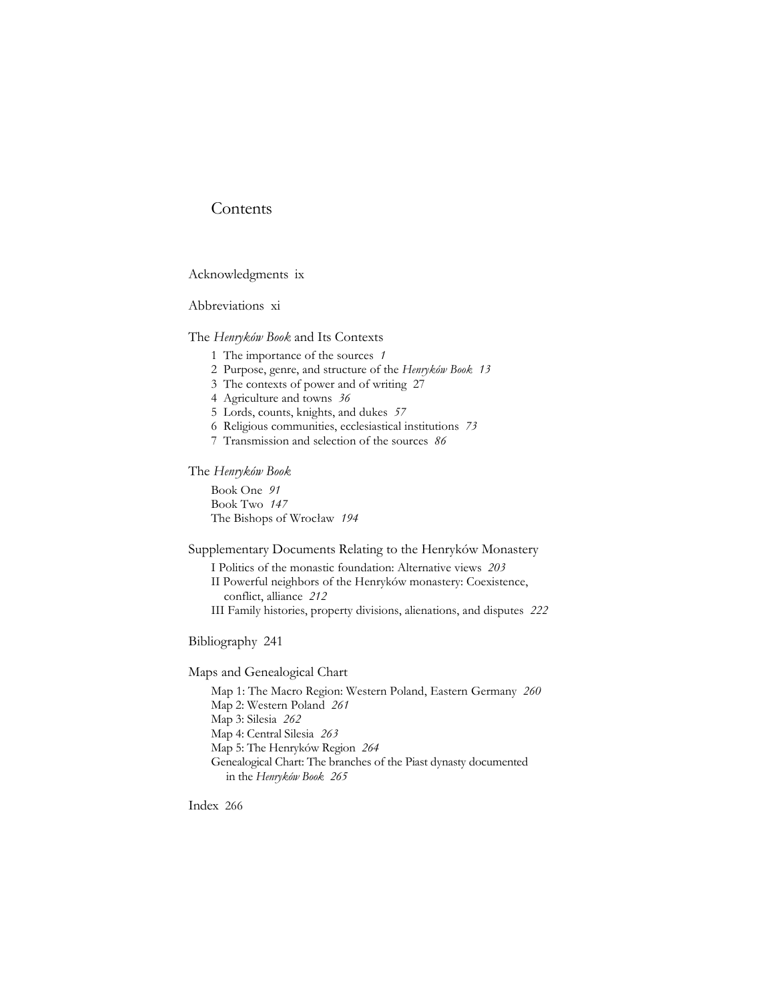# **Contents**

Acknowledgments ix

Abbreviations xi

The *Henryków Book* and Its Contexts

1 The importance of the sources *1*

- 2 Purpose, genre, and structure of the *Henryków Book 13*
- 3 The contexts of power and of writing 27
- 4 Agriculture and towns *36*
- 5 Lords, counts, knights, and dukes *57*
- 6 Religious communities, ecclesiastical institutions *73*
- 7 Transmission and selection of the sources *86*

### The *Henryków Book*

Book One *91* Book Two *147* The Bishops of Wrocław *194*

Supplementary Documents Relating to the Henryków Monastery

I Politics of the monastic foundation: Alternative views *203* II Powerful neighbors of the Henryków monastery: Coexistence, conflict, alliance *212* III Family histories, property divisions, alienations, and disputes *222*

Bibliography 241

Maps and Genealogical Chart

Map 1: The Macro Region: Western Poland, Eastern Germany *260* Map 2: Western Poland *261* Map 3: Silesia *262* Map 4: Central Silesia *263* Map 5: The Henryków Region *264* Genealogical Chart: The branches of the Piast dynasty documented in the *Henryków Book 265*

Index 266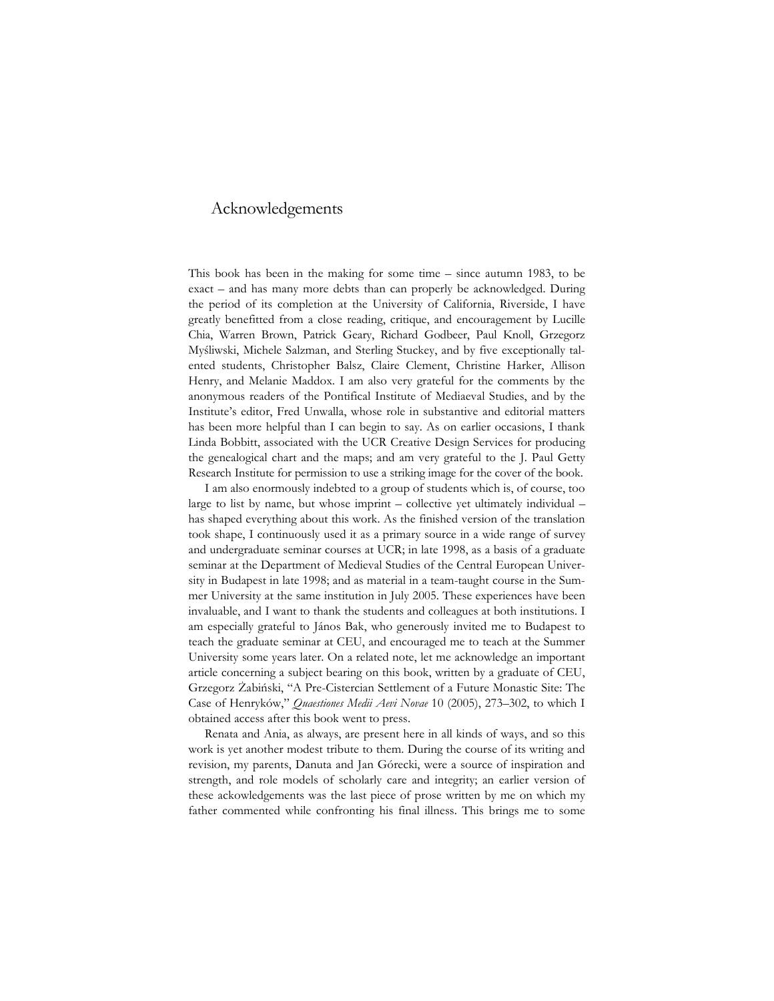# Acknowledgements

This book has been in the making for some time – since autumn 1983, to be exact – and has many more debts than can properly be acknowledged. During the period of its completion at the University of California, Riverside, I have greatly benefitted from a close reading, critique, and encouragement by Lucille Chia, Warren Brown, Patrick Geary, Richard Godbeer, Paul Knoll, Grzegorz Myśliwski, Michele Salzman, and Sterling Stuckey, and by five exceptionally talented students, Christopher Balsz, Claire Clement, Christine Harker, Allison Henry, and Melanie Maddox. I am also very grateful for the comments by the anonymous readers of the Pontifical Institute of Mediaeval Studies, and by the Institute's editor, Fred Unwalla, whose role in substantive and editorial matters has been more helpful than I can begin to say. As on earlier occasions, I thank Linda Bobbitt, associated with the UCR Creative Design Services for producing the genealogical chart and the maps; and am very grateful to the J. Paul Getty Research Institute for permission to use a striking image for the cover of the book.

I am also enormously indebted to a group of students which is, of course, too large to list by name, but whose imprint – collective yet ultimately individual – has shaped everything about this work. As the finished version of the translation took shape, I continuously used it as a primary source in a wide range of survey and undergraduate seminar courses at UCR; in late 1998, as a basis of a graduate seminar at the Department of Medieval Studies of the Central European University in Budapest in late 1998; and as material in a team-taught course in the Summer University at the same institution in July 2005. These experiences have been invaluable, and I want to thank the students and colleagues at both institutions. I am especially grateful to János Bak, who generously invited me to Budapest to teach the graduate seminar at CEU, and encouraged me to teach at the Summer University some years later. On a related note, let me acknowledge an important article concerning a subject bearing on this book, written by a graduate of CEU, Grzegorz Żabiński, "A Pre-Cistercian Settlement of a Future Monastic Site: The Case of Henryków," *Quaestiones Medii Aevi Novae* 10 (2005), 273–302, to which I obtained access after this book went to press.

Renata and Ania, as always, are present here in all kinds of ways, and so this work is yet another modest tribute to them. During the course of its writing and revision, my parents, Danuta and Jan Górecki, were a source of inspiration and strength, and role models of scholarly care and integrity; an earlier version of these ackowledgements was the last piece of prose written by me on which my father commented while confronting his final illness. This brings me to some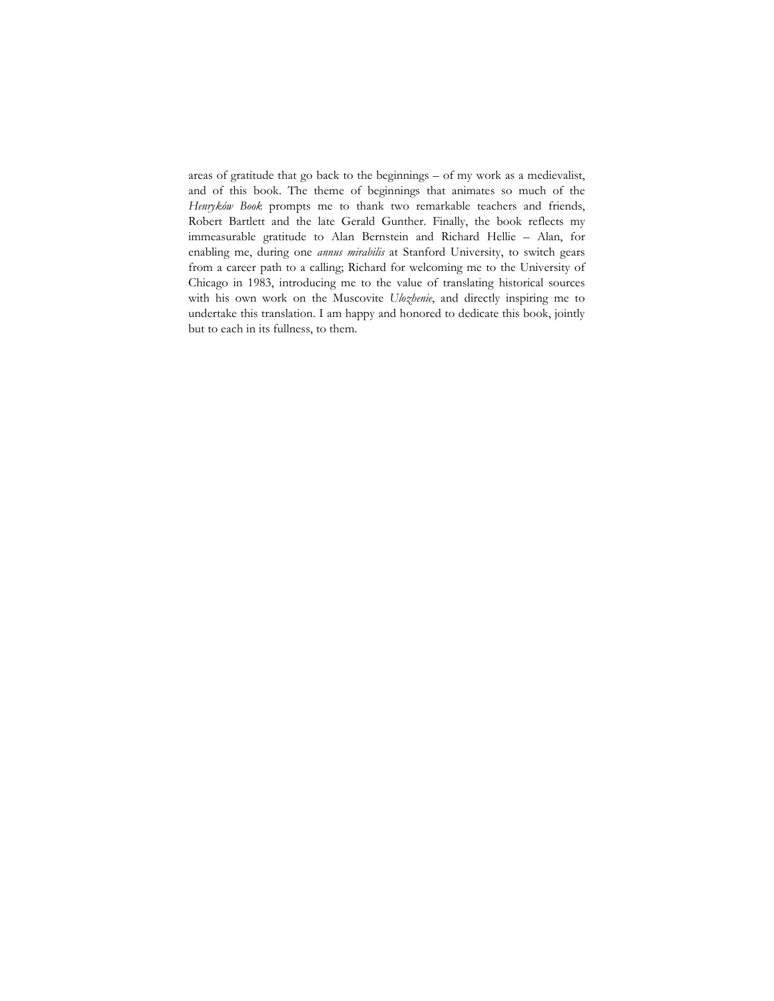areas of gratitude that go back to the beginnings – of my work as a medievalist, and of this book. The theme of beginnings that animates so much of the *Henryków Book* prompts me to thank two remarkable teachers and friends, Robert Bartlett and the late Gerald Gunther. Finally, the book reflects my immeasurable gratitude to Alan Bernstein and Richard Hellie – Alan, for enabling me, during one *annus mirabilis* at Stanford University, to switch gears from a career path to a calling; Richard for welcoming me to the University of Chicago in 1983, introducing me to the value of translating historical sources with his own work on the Muscovite *Ulozhenie*, and directly inspiring me to undertake this translation. I am happy and honored to dedicate this book, jointly but to each in its fullness, to them.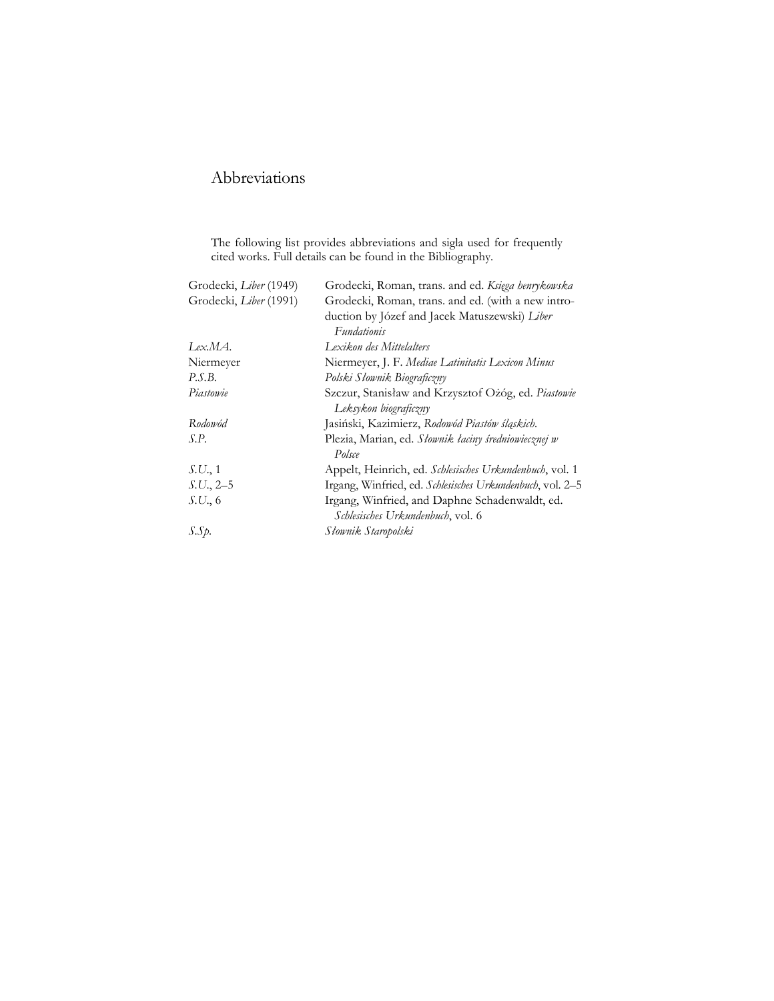# Abbreviations

The following list provides abbreviations and sigla used for frequently cited works. Full details can be found in the Bibliography.

| Grodecki, Liber (1949) | Grodecki, Roman, trans. and ed. Księga henrykowska                                  |
|------------------------|-------------------------------------------------------------------------------------|
| Grodecki, Liber (1991) | Grodecki, Roman, trans. and ed. (with a new intro-                                  |
|                        | duction by Józef and Jacek Matuszewski) Liber<br><b>Fundationis</b>                 |
| Lex.MA.                | Lexikon des Mittelalters                                                            |
| Niermeyer              | Niermeyer, J. F. Mediae Latinitatis Lexicon Minus                                   |
| P.S.B.                 | Polski Słownik Biograficzny                                                         |
| Piastowie              | Szczur, Stanisław and Krzysztof Ożóg, ed. Piastowie<br>Leksykon biograficzny        |
| Rodowód                | Jasiński, Kazimierz, Rodowód Piastów śląskich.                                      |
| S.P.                   | Plezia, Marian, ed. Słownik łaciny średniowiecznej w<br>Polsce                      |
| S.U., 1                | Appelt, Heinrich, ed. Schlesisches Urkundenbuch, vol. 1                             |
| $S.U., 2-5$            | Irgang, Winfried, ed. Schlesisches Urkundenbuch, vol. 2-5                           |
| S.U., 6                | Irgang, Winfried, and Daphne Schadenwaldt, ed.<br>Schlesisches Urkundenbuch, vol. 6 |
| S.Sp.                  | Słownik Staropolski                                                                 |
|                        |                                                                                     |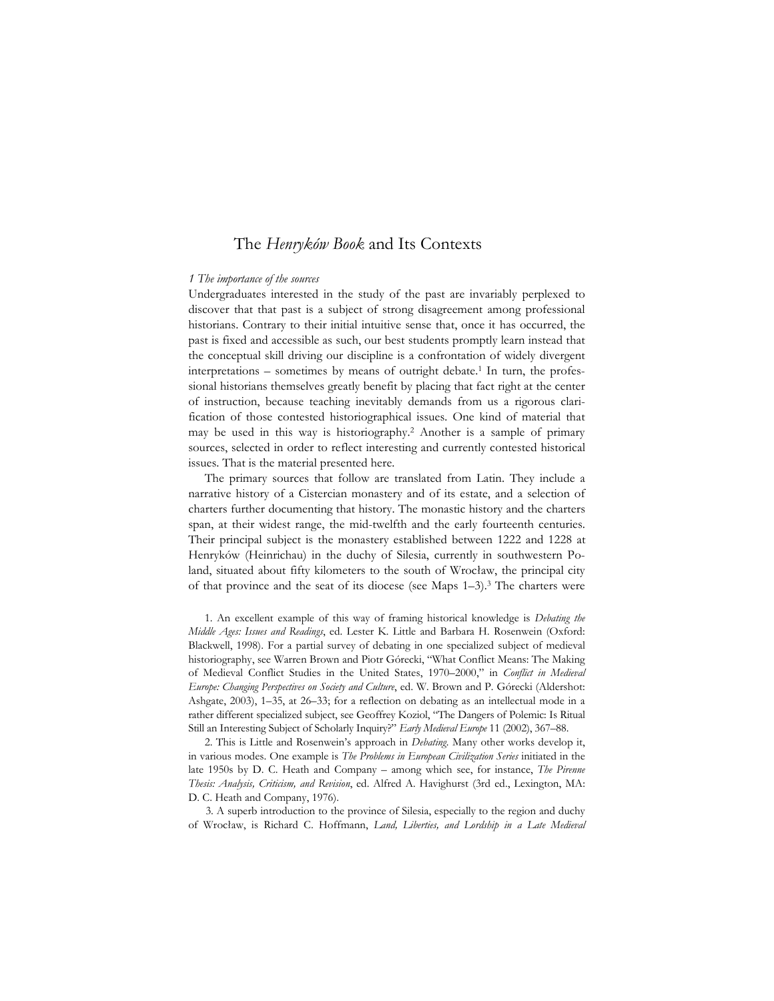#### *1 The importance of the sources*

Undergraduates interested in the study of the past are invariably perplexed to discover that that past is a subject of strong disagreement among professional historians. Contrary to their initial intuitive sense that, once it has occurred, the past is fixed and accessible as such, our best students promptly learn instead that the conceptual skill driving our discipline is a confrontation of widely divergent interpretations – sometimes by means of outright debate.1 In turn, the professional historians themselves greatly benefit by placing that fact right at the center of instruction, because teaching inevitably demands from us a rigorous clarification of those contested historiographical issues. One kind of material that may be used in this way is historiography.2 Another is a sample of primary sources, selected in order to reflect interesting and currently contested historical issues. That is the material presented here.

The primary sources that follow are translated from Latin. They include a narrative history of a Cistercian monastery and of its estate, and a selection of charters further documenting that history. The monastic history and the charters span, at their widest range, the mid-twelfth and the early fourteenth centuries. Their principal subject is the monastery established between 1222 and 1228 at Henryków (Heinrichau) in the duchy of Silesia, currently in southwestern Poland, situated about fifty kilometers to the south of Wrocław, the principal city of that province and the seat of its diocese (see Maps  $1-3$ ).<sup>3</sup> The charters were

1. An excellent example of this way of framing historical knowledge is *Debating the Middle Ages: Issues and Readings*, ed. Lester K. Little and Barbara H. Rosenwein (Oxford: Blackwell, 1998). For a partial survey of debating in one specialized subject of medieval historiography, see Warren Brown and Piotr Górecki, "What Conflict Means: The Making of Medieval Conflict Studies in the United States, 1970–2000," in *Conflict in Medieval Europe: Changing Perspectives on Society and Culture*, ed. W. Brown and P. Górecki (Aldershot: Ashgate, 2003), 1–35, at 26–33; for a reflection on debating as an intellectual mode in a rather different specialized subject, see Geoffrey Koziol, "The Dangers of Polemic: Is Ritual Still an Interesting Subject of Scholarly Inquiry?" *Early Medieval Europe* 11 (2002), 367–88.

2. This is Little and Rosenwein's approach in *Debating*. Many other works develop it, in various modes. One example is *The Problems in European Civilization Series* initiated in the late 1950s by D. C. Heath and Company – among which see, for instance, *The Pirenne Thesis: Analysis, Criticism, and Revision*, ed. Alfred A. Havighurst (3rd ed., Lexington, MA: D. C. Heath and Company, 1976).

3. A superb introduction to the province of Silesia, especially to the region and duchy of Wrocław, is Richard C. Hoffmann, *Land, Liberties, and Lordship in a Late Medieval*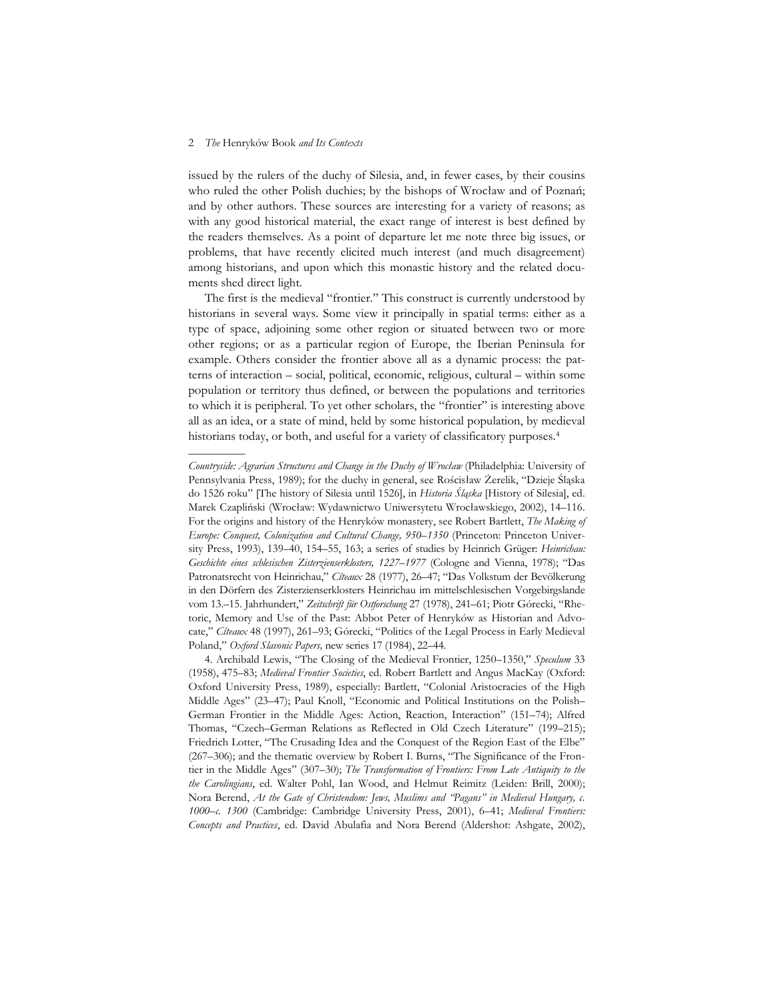––––––––––

issued by the rulers of the duchy of Silesia, and, in fewer cases, by their cousins who ruled the other Polish duchies; by the bishops of Wrocław and of Poznań; and by other authors. These sources are interesting for a variety of reasons; as with any good historical material, the exact range of interest is best defined by the readers themselves. As a point of departure let me note three big issues, or problems, that have recently elicited much interest (and much disagreement) among historians, and upon which this monastic history and the related documents shed direct light.

The first is the medieval "frontier." This construct is currently understood by historians in several ways. Some view it principally in spatial terms: either as a type of space, adjoining some other region or situated between two or more other regions; or as a particular region of Europe, the Iberian Peninsula for example. Others consider the frontier above all as a dynamic process: the patterns of interaction – social, political, economic, religious, cultural – within some population or territory thus defined, or between the populations and territories to which it is peripheral. To yet other scholars, the "frontier" is interesting above all as an idea, or a state of mind, held by some historical population, by medieval historians today, or both, and useful for a variety of classificatory purposes.<sup>4</sup>

*Countryside: Agrarian Structures and Change in the Duchy of Wrocław* (Philadelphia: University of Pennsylvania Press, 1989); for the duchy in general, see Rościsław Żerelik, "Dzieje Śląska do 1526 roku" [The history of Silesia until 1526], in *Historia Śląska* [History of Silesia], ed. Marek Czapliński (Wrocław: Wydawnictwo Uniwersytetu Wrocławskiego, 2002), 14–116. For the origins and history of the Henryków monastery, see Robert Bartlett, *The Making of Europe: Conquest, Colonization and Cultural Change, 950–1350* (Princeton: Princeton University Press, 1993), 139–40, 154–55, 163; a series of studies by Heinrich Grüger: *Heinrichau: Geschichte eines schlesischen Zisterzienserklosters, 1227–1977* (Cologne and Vienna, 1978); "Das Patronatsrecht von Heinrichau," *Cîteaux* 28 (1977), 26–47; "Das Volkstum der Bevölkerung in den Dörfern des Zisterzienserklosters Heinrichau im mittelschlesischen Vorgebirgslande vom 13.–15. Jahrhundert," *Zeitschrift für Ostforschung* 27 (1978), 241–61; Piotr Górecki, "Rhetoric, Memory and Use of the Past: Abbot Peter of Henryków as Historian and Advocate," *Cîteaux* 48 (1997), 261–93; Górecki, "Politics of the Legal Process in Early Medieval Poland," *Oxford Slavonic Papers,* new series 17 (1984), 22–44.

<sup>4.</sup> Archibald Lewis, "The Closing of the Medieval Frontier, 1250–1350," *Speculum* 33 (1958), 475–83; *Medieval Frontier Societies*, ed. Robert Bartlett and Angus MacKay (Oxford: Oxford University Press, 1989), especially: Bartlett, "Colonial Aristocracies of the High Middle Ages" (23–47); Paul Knoll, "Economic and Political Institutions on the Polish– German Frontier in the Middle Ages: Action, Reaction, Interaction" (151–74); Alfred Thomas, "Czech–German Relations as Reflected in Old Czech Literature" (199–215); Friedrich Lotter, "The Crusading Idea and the Conquest of the Region East of the Elbe" (267–306); and the thematic overview by Robert I. Burns, "The Significance of the Frontier in the Middle Ages" (307–30); *The Transformation of Frontiers: From Late Antiquity to the the Carolingians*, ed. Walter Pohl, Ian Wood, and Helmut Reimitz (Leiden: Brill, 2000); Nora Berend, *At the Gate of Christendom: Jews, Muslims and "Pagans" in Medieval Hungary, c. 1000–c. 1300* (Cambridge: Cambridge University Press, 2001), 6–41; *Medieval Frontiers: Concepts and Practices*, ed. David Abulafia and Nora Berend (Aldershot: Ashgate, 2002),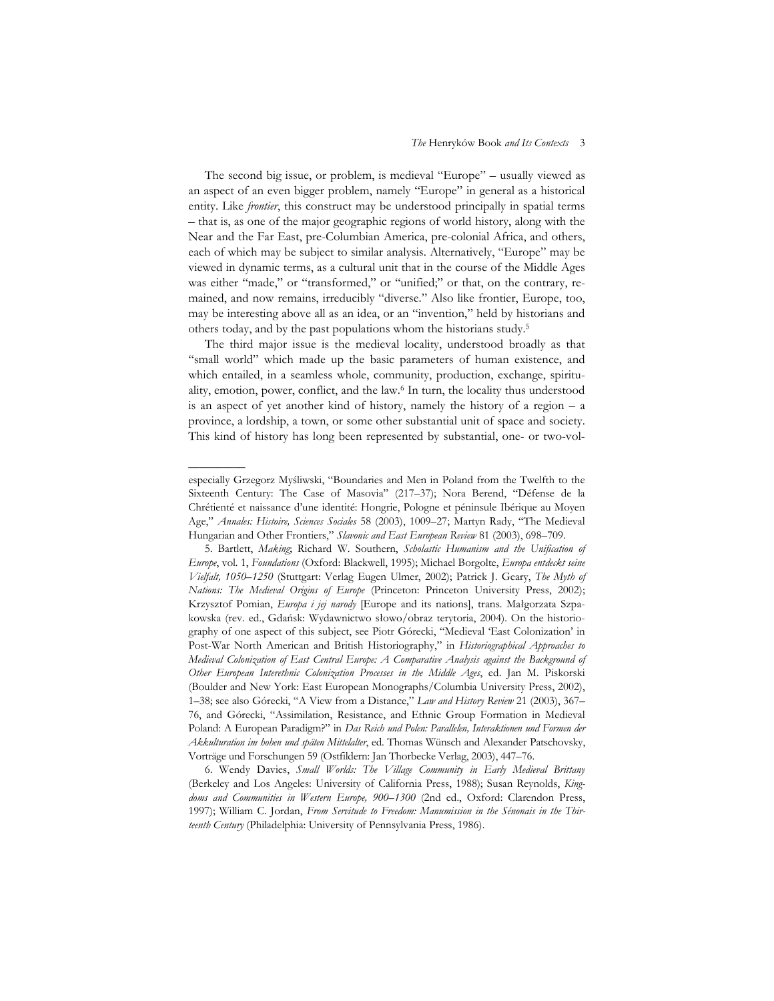The second big issue, or problem, is medieval "Europe" – usually viewed as an aspect of an even bigger problem, namely "Europe" in general as a historical entity. Like *frontier*, this construct may be understood principally in spatial terms – that is, as one of the major geographic regions of world history, along with the Near and the Far East, pre-Columbian America, pre-colonial Africa, and others, each of which may be subject to similar analysis. Alternatively, "Europe" may be viewed in dynamic terms, as a cultural unit that in the course of the Middle Ages was either "made," or "transformed," or "unified;" or that, on the contrary, remained, and now remains, irreducibly "diverse." Also like frontier, Europe, too, may be interesting above all as an idea, or an "invention," held by historians and others today, and by the past populations whom the historians study.5

The third major issue is the medieval locality, understood broadly as that "small world" which made up the basic parameters of human existence, and which entailed, in a seamless whole, community, production, exchange, spirituality, emotion, power, conflict, and the law.6 In turn, the locality thus understood is an aspect of yet another kind of history, namely the history of a region – a province, a lordship, a town, or some other substantial unit of space and society. This kind of history has long been represented by substantial, one- or two-vol-

––––––––––

especially Grzegorz Myśliwski, "Boundaries and Men in Poland from the Twelfth to the Sixteenth Century: The Case of Masovia" (217–37); Nora Berend, "Défense de la Chrétienté et naissance d'une identité: Hongrie, Pologne et péninsule Ibérique au Moyen Age," *Annales: Histoire, Sciences Sociales* 58 (2003), 1009–27; Martyn Rady, "The Medieval Hungarian and Other Frontiers," *Slavonic and East European Review* 81 (2003), 698–709.

<sup>5.</sup> Bartlett, *Making*; Richard W. Southern, *Scholastic Humanism and the Unification of Europe*, vol. 1, *Foundations* (Oxford: Blackwell, 1995); Michael Borgolte, *Europa entdeckt seine Vielfalt, 1050–1250* (Stuttgart: Verlag Eugen Ulmer, 2002); Patrick J. Geary, *The Myth of Nations: The Medieval Origins of Europe* (Princeton: Princeton University Press, 2002); Krzysztof Pomian, *Europa i jej narody* [Europe and its nations], trans. Małgorzata Szpakowska (rev. ed., Gdańsk: Wydawnictwo słowo/obraz terytoria, 2004). On the historiography of one aspect of this subject, see Piotr Górecki, "Medieval 'East Colonization' in Post-War North American and British Historiography," in *Historiographical Approaches to Medieval Colonization of East Central Europe: A Comparative Analysis against the Background of Other European Interethnic Colonization Processes in the Middle Ages*, ed. Jan M. Piskorski (Boulder and New York: East European Monographs/Columbia University Press, 2002), 1–38; see also Górecki, "A View from a Distance," *Law and History Review* 21 (2003), 367– 76, and Górecki, "Assimilation, Resistance, and Ethnic Group Formation in Medieval Poland: A European Paradigm?" in *Das Reich und Polen: Parallelen, Interaktionen und Formen der Akkulturation im hohen und späten Mittelalter*, ed. Thomas Wünsch and Alexander Patschovsky, Vorträge und Forschungen 59 (Ostfildern: Jan Thorbecke Verlag, 2003), 447–76.

<sup>6.</sup> Wendy Davies, *Small Worlds: The Village Community in Early Medieval Brittany* (Berkeley and Los Angeles: University of California Press, 1988); Susan Reynolds, *Kingdoms and Communities in Western Europe, 900–1300* (2nd ed., Oxford: Clarendon Press, 1997); William C. Jordan, *From Servitude to Freedom: Manumission in the Sénonais in the Thirteenth Century* (Philadelphia: University of Pennsylvania Press, 1986).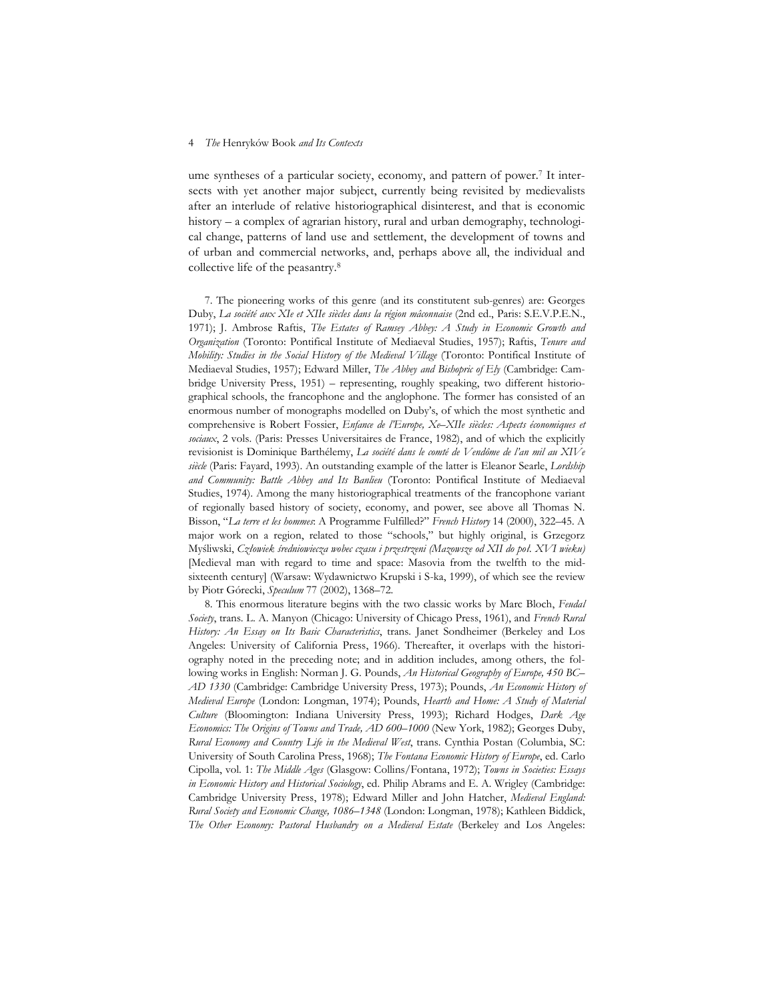ume syntheses of a particular society, economy, and pattern of power.7 It intersects with yet another major subject, currently being revisited by medievalists after an interlude of relative historiographical disinterest, and that is economic history – a complex of agrarian history, rural and urban demography, technological change, patterns of land use and settlement, the development of towns and of urban and commercial networks, and, perhaps above all, the individual and collective life of the peasantry.8

7. The pioneering works of this genre (and its constitutent sub-genres) are: Georges Duby, *La société aux XIe et XIIe siècles dans la région mâconnaise* (2nd ed., Paris: S.E.V.P.E.N., 1971); J. Ambrose Raftis, *The Estates of Ramsey Abbey: A Study in Economic Growth and Organization* (Toronto: Pontifical Institute of Mediaeval Studies, 1957); Raftis, *Tenure and Mobility: Studies in the Social History of the Medieval Village* (Toronto: Pontifical Institute of Mediaeval Studies, 1957); Edward Miller, *The Abbey and Bishopric of Ely* (Cambridge: Cambridge University Press, 1951) – representing, roughly speaking, two different historiographical schools, the francophone and the anglophone. The former has consisted of an enormous number of monographs modelled on Duby's, of which the most synthetic and comprehensive is Robert Fossier, *Enfance de l'Europe, Xe–XIIe siècles: Aspects économiques et sociaux*, 2 vols. (Paris: Presses Universitaires de France, 1982), and of which the explicitly revisionist is Dominique Barthélemy, *La société dans le comté de Vendôme de l'an mil au XIVe siècle* (Paris: Fayard, 1993). An outstanding example of the latter is Eleanor Searle, *Lordship and Community: Battle Abbey and Its Banlieu* (Toronto: Pontifical Institute of Mediaeval Studies, 1974). Among the many historiographical treatments of the francophone variant of regionally based history of society, economy, and power, see above all Thomas N. Bisson, "*La terre et les hommes*: A Programme Fulfilled?" *French History* 14 (2000), 322–45. A major work on a region, related to those "schools," but highly original, is Grzegorz Myśliwski, *Człowiek średniowiecza wobec czasu i przestrzeni (Mazowsze od XII do poł. XVI wieku)* [Medieval man with regard to time and space: Masovia from the twelfth to the midsixteenth century] (Warsaw: Wydawnictwo Krupski i S-ka, 1999), of which see the review by Piotr Górecki, *Speculum* 77 (2002), 1368–72.

8. This enormous literature begins with the two classic works by Marc Bloch, *Feudal Society*, trans. L. A. Manyon (Chicago: University of Chicago Press, 1961), and *French Rural History: An Essay on Its Basic Characteristics*, trans. Janet Sondheimer (Berkeley and Los Angeles: University of California Press, 1966). Thereafter, it overlaps with the historiography noted in the preceding note; and in addition includes, among others, the following works in English: Norman J. G. Pounds, *An Historical Geography of Europe, 450 BC– AD 1330* (Cambridge: Cambridge University Press, 1973); Pounds, *An Economic History of Medieval Europe* (London: Longman, 1974); Pounds, *Hearth and Home: A Study of Material Culture* (Bloomington: Indiana University Press, 1993); Richard Hodges, *Dark Age Economics: The Origins of Towns and Trade, AD 600–1000* (New York, 1982); Georges Duby, *Rural Economy and Country Life in the Medieval West*, trans. Cynthia Postan (Columbia, SC: University of South Carolina Press, 1968); *The Fontana Economic History of Europe*, ed. Carlo Cipolla, vol. 1: *The Middle Ages* (Glasgow: Collins/Fontana, 1972); *Towns in Societies: Essays in Economic History and Historical Sociology*, ed. Philip Abrams and E. A. Wrigley (Cambridge: Cambridge University Press, 1978); Edward Miller and John Hatcher, *Medieval England: Rural Society and Economic Change, 1086–1348* (London: Longman, 1978); Kathleen Biddick, *The Other Economy: Pastoral Husbandry on a Medieval Estate* (Berkeley and Los Angeles: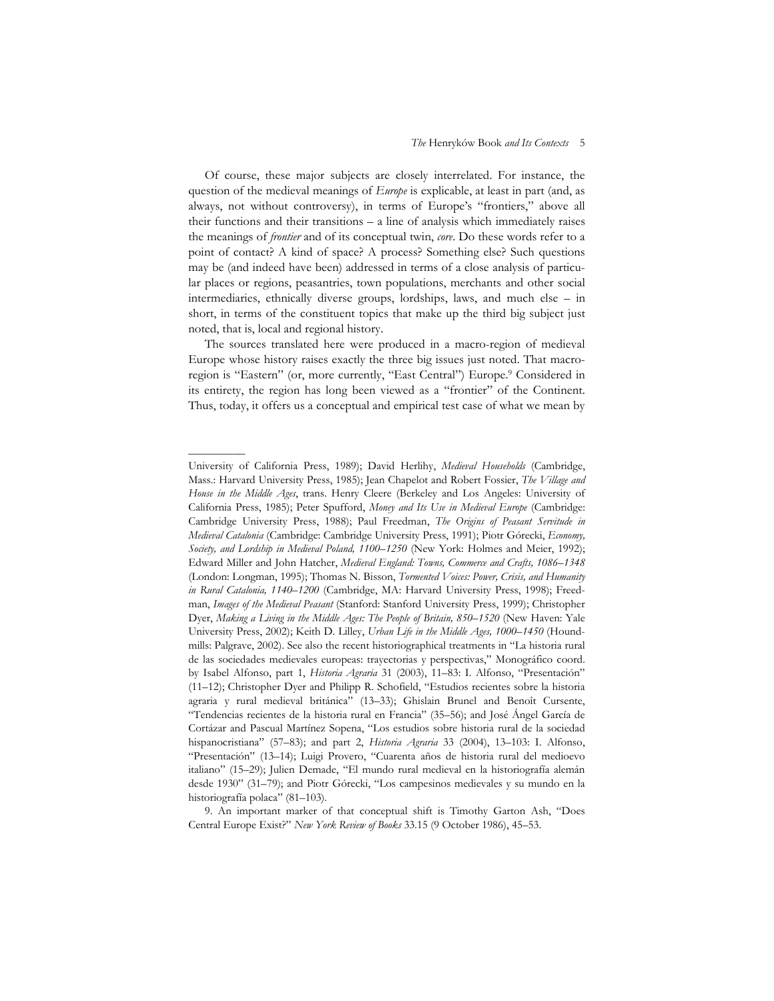Of course, these major subjects are closely interrelated. For instance, the question of the medieval meanings of *Europe* is explicable, at least in part (and, as always, not without controversy), in terms of Europe's "frontiers," above all their functions and their transitions – a line of analysis which immediately raises the meanings of *frontier* and of its conceptual twin, *core*. Do these words refer to a point of contact? A kind of space? A process? Something else? Such questions may be (and indeed have been) addressed in terms of a close analysis of particular places or regions, peasantries, town populations, merchants and other social intermediaries, ethnically diverse groups, lordships, laws, and much else – in short, in terms of the constituent topics that make up the third big subject just noted, that is, local and regional history.

The sources translated here were produced in a macro-region of medieval Europe whose history raises exactly the three big issues just noted. That macroregion is "Eastern" (or, more currently, "East Central") Europe.<sup>9</sup> Considered in its entirety, the region has long been viewed as a "frontier" of the Continent. Thus, today, it offers us a conceptual and empirical test case of what we mean by

––––––––––

University of California Press, 1989); David Herlihy, *Medieval Households* (Cambridge, Mass.: Harvard University Press, 1985); Jean Chapelot and Robert Fossier, *The Village and House in the Middle Ages*, trans. Henry Cleere (Berkeley and Los Angeles: University of California Press, 1985); Peter Spufford, *Money and Its Use in Medieval Europe* (Cambridge: Cambridge University Press, 1988); Paul Freedman, *The Origins of Peasant Servitude in Medieval Catalonia* (Cambridge: Cambridge University Press, 1991); Piotr Górecki, *Economy, Society, and Lordship in Medieval Poland, 1100–1250* (New York: Holmes and Meier, 1992); Edward Miller and John Hatcher, *Medieval England: Towns, Commerce and Crafts, 1086–1348* (London: Longman, 1995); Thomas N. Bisson, *Tormented Voices: Power, Crisis, and Humanity in Rural Catalonia, 1140–1200* (Cambridge, MA: Harvard University Press, 1998); Freedman, *Images of the Medieval Peasant* (Stanford: Stanford University Press, 1999); Christopher Dyer, *Making a Living in the Middle Ages: The People of Britain, 850–1520* (New Haven: Yale University Press, 2002); Keith D. Lilley, *Urban Life in the Middle Ages, 1000–1450* (Houndmills: Palgrave, 2002). See also the recent historiographical treatments in "La historia rural de las sociedades medievales europeas: trayectorias y perspectivas," Monográfico coord. by Isabel Alfonso, part 1, *Historia Agraria* 31 (2003), 11–83: I. Alfonso, "Presentación" (11–12); Christopher Dyer and Philipp R. Schofield, "Estudios recientes sobre la historia agraria y rural medieval británica" (13–33); Ghislain Brunel and Benoît Cursente, "Tendencias recientes de la historia rural en Francia" (35–56); and José Ángel García de Cortázar and Pascual Martínez Sopena, "Los estudios sobre historia rural de la sociedad hispanocristiana" (57–83); and part 2, *Historia Agraria* 33 (2004), 13–103: I. Alfonso, "Presentación" (13–14); Luigi Provero, "Cuarenta años de historia rural del medioevo italiano" (15–29); Julien Demade, "El mundo rural medieval en la historiografía alemán desde 1930" (31–79); and Piotr Górecki, "Los campesinos medievales y su mundo en la historiografía polaca" (81–103).

<sup>9.</sup> An important marker of that conceptual shift is Timothy Garton Ash, "Does Central Europe Exist?" *New York Review of Books* 33.15 (9 October 1986), 45–53.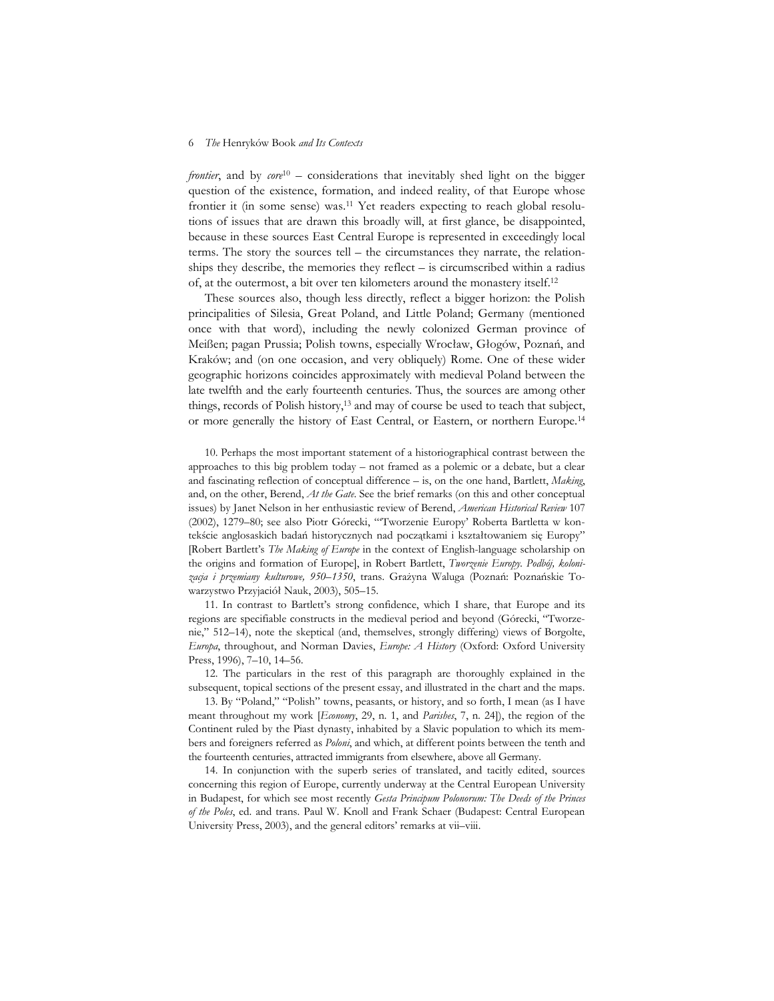*frontier*, and by *core*<sup>10</sup> – considerations that inevitably shed light on the bigger question of the existence, formation, and indeed reality, of that Europe whose frontier it (in some sense) was.11 Yet readers expecting to reach global resolutions of issues that are drawn this broadly will, at first glance, be disappointed, because in these sources East Central Europe is represented in exceedingly local terms. The story the sources tell – the circumstances they narrate, the relationships they describe, the memories they reflect – is circumscribed within a radius of, at the outermost, a bit over ten kilometers around the monastery itself.12

These sources also, though less directly, reflect a bigger horizon: the Polish principalities of Silesia, Great Poland, and Little Poland; Germany (mentioned once with that word), including the newly colonized German province of Meißen; pagan Prussia; Polish towns, especially Wrocław, Głogów, Poznań, and Kraków; and (on one occasion, and very obliquely) Rome. One of these wider geographic horizons coincides approximately with medieval Poland between the late twelfth and the early fourteenth centuries. Thus, the sources are among other things, records of Polish history,13 and may of course be used to teach that subject, or more generally the history of East Central, or Eastern, or northern Europe.14

10. Perhaps the most important statement of a historiographical contrast between the approaches to this big problem today – not framed as a polemic or a debate, but a clear and fascinating reflection of conceptual difference – is, on the one hand, Bartlett, *Making*, and, on the other, Berend, *At the Gate*. See the brief remarks (on this and other conceptual issues) by Janet Nelson in her enthusiastic review of Berend, *American Historical Review* 107 (2002), 1279–80; see also Piotr Górecki, "'Tworzenie Europy' Roberta Bartletta w kontekście anglosaskich badań historycznych nad początkami i kształtowaniem się Europy" [Robert Bartlett's *The Making of Europe* in the context of English-language scholarship on the origins and formation of Europe], in Robert Bartlett, *Tworzenie Europy. Podbój, kolonizacja i przemiany kulturowe, 950–1350*, trans. Grażyna Waluga (Poznań: Poznańskie Towarzystwo Przyjaciół Nauk, 2003), 505–15.

11. In contrast to Bartlett's strong confidence, which I share, that Europe and its regions are specifiable constructs in the medieval period and beyond (Górecki, "Tworzenie," 512–14), note the skeptical (and, themselves, strongly differing) views of Borgolte, *Europa*, throughout, and Norman Davies, *Europe: A History* (Oxford: Oxford University Press, 1996), 7–10, 14–56.

12. The particulars in the rest of this paragraph are thoroughly explained in the subsequent, topical sections of the present essay, and illustrated in the chart and the maps.

13. By "Poland," "Polish" towns, peasants, or history, and so forth, I mean (as I have meant throughout my work [*Economy*, 29, n. 1, and *Parishes*, 7, n. 24]), the region of the Continent ruled by the Piast dynasty, inhabited by a Slavic population to which its members and foreigners referred as *Poloni*, and which, at different points between the tenth and the fourteenth centuries, attracted immigrants from elsewhere, above all Germany.

14. In conjunction with the superb series of translated, and tacitly edited, sources concerning this region of Europe, currently underway at the Central European University in Budapest, for which see most recently *Gesta Principum Polonorum: The Deeds of the Princes of the Poles*, ed. and trans. Paul W. Knoll and Frank Schaer (Budapest: Central European University Press, 2003), and the general editors' remarks at vii–viii.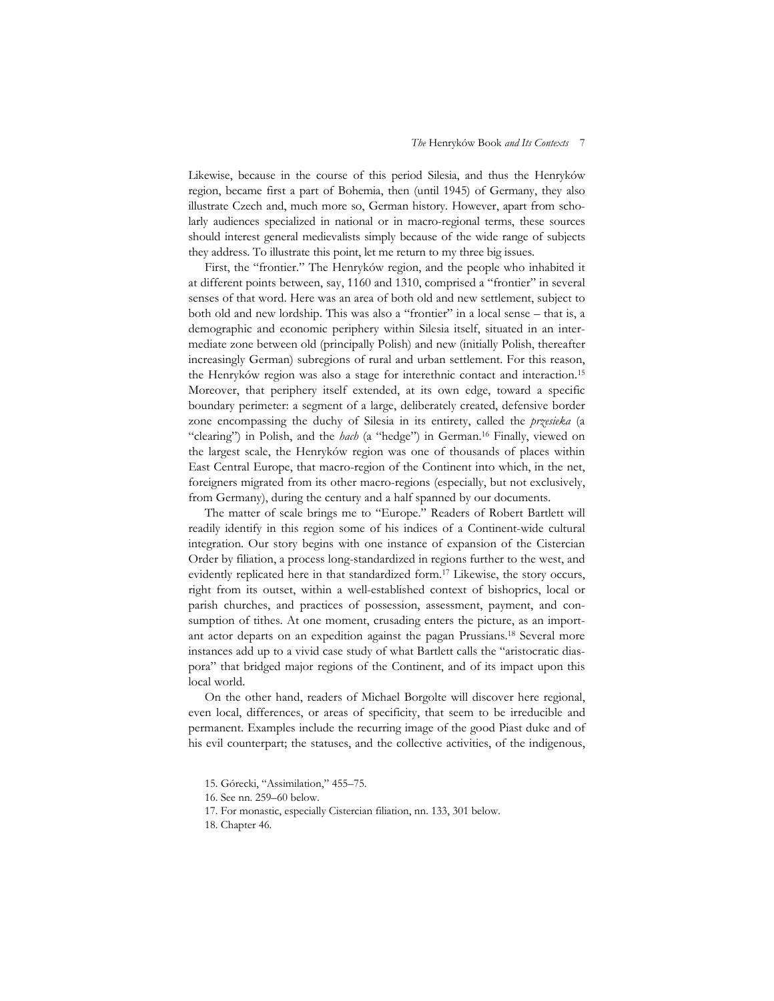Likewise, because in the course of this period Silesia, and thus the Henryków region, became first a part of Bohemia, then (until 1945) of Germany, they also illustrate Czech and, much more so, German history. However, apart from scholarly audiences specialized in national or in macro-regional terms, these sources should interest general medievalists simply because of the wide range of subjects they address. To illustrate this point, let me return to my three big issues.

First, the "frontier." The Henryków region, and the people who inhabited it at different points between, say, 1160 and 1310, comprised a "frontier" in several senses of that word. Here was an area of both old and new settlement, subject to both old and new lordship. This was also a "frontier" in a local sense – that is, a demographic and economic periphery within Silesia itself, situated in an intermediate zone between old (principally Polish) and new (initially Polish, thereafter increasingly German) subregions of rural and urban settlement. For this reason, the Henryków region was also a stage for interethnic contact and interaction.15 Moreover, that periphery itself extended, at its own edge, toward a specific boundary perimeter: a segment of a large, deliberately created, defensive border zone encompassing the duchy of Silesia in its entirety, called the *przesieka* (a "clearing") in Polish, and the *hach* (a "hedge") in German.16 Finally, viewed on the largest scale, the Henryków region was one of thousands of places within East Central Europe, that macro-region of the Continent into which, in the net, foreigners migrated from its other macro-regions (especially, but not exclusively, from Germany), during the century and a half spanned by our documents.

The matter of scale brings me to "Europe." Readers of Robert Bartlett will readily identify in this region some of his indices of a Continent-wide cultural integration. Our story begins with one instance of expansion of the Cistercian Order by filiation, a process long-standardized in regions further to the west, and evidently replicated here in that standardized form.17 Likewise, the story occurs, right from its outset, within a well-established context of bishoprics, local or parish churches, and practices of possession, assessment, payment, and consumption of tithes. At one moment, crusading enters the picture, as an important actor departs on an expedition against the pagan Prussians.18 Several more instances add up to a vivid case study of what Bartlett calls the "aristocratic diaspora" that bridged major regions of the Continent, and of its impact upon this local world.

On the other hand, readers of Michael Borgolte will discover here regional, even local, differences, or areas of specificity, that seem to be irreducible and permanent. Examples include the recurring image of the good Piast duke and of his evil counterpart; the statuses, and the collective activities, of the indigenous,

<sup>15.</sup> Górecki, "Assimilation," 455–75.

<sup>16.</sup> See nn. 259–60 below.

<sup>17.</sup> For monastic, especially Cistercian filiation, nn. 133, 301 below.

<sup>18.</sup> Chapter 46.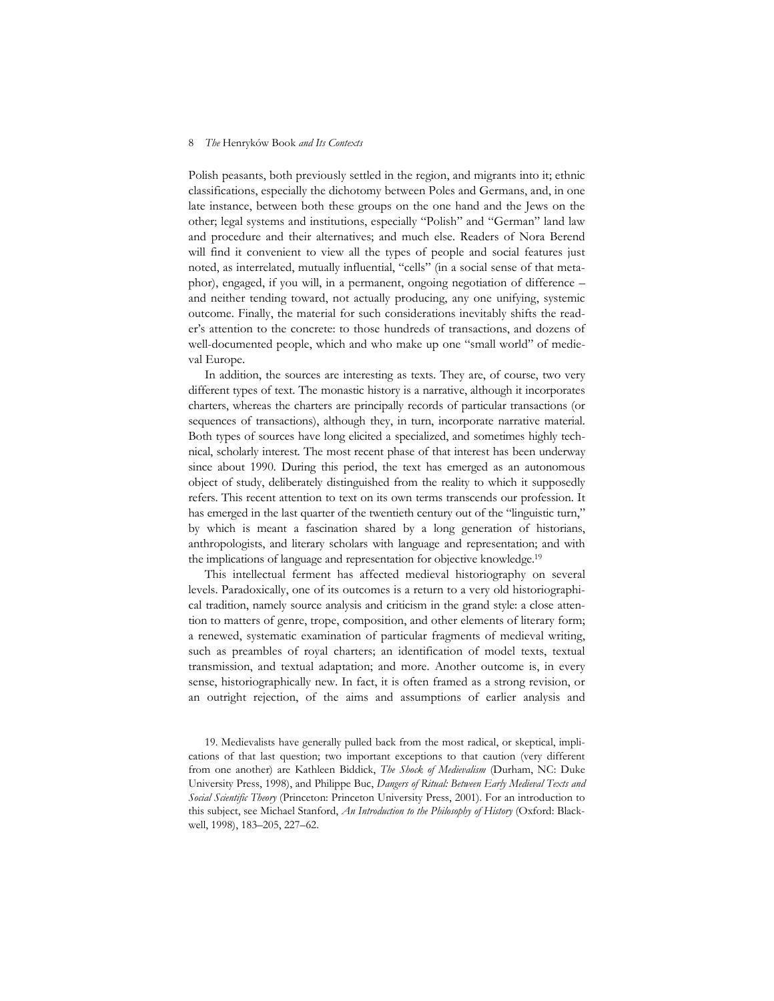Polish peasants, both previously settled in the region, and migrants into it; ethnic classifications, especially the dichotomy between Poles and Germans, and, in one late instance, between both these groups on the one hand and the Jews on the other; legal systems and institutions, especially "Polish" and "German" land law and procedure and their alternatives; and much else. Readers of Nora Berend will find it convenient to view all the types of people and social features just noted, as interrelated, mutually influential, "cells" (in a social sense of that metaphor), engaged, if you will, in a permanent, ongoing negotiation of difference – and neither tending toward, not actually producing, any one unifying, systemic outcome. Finally, the material for such considerations inevitably shifts the reader's attention to the concrete: to those hundreds of transactions, and dozens of well-documented people, which and who make up one "small world" of medieval Europe.

In addition, the sources are interesting as texts. They are, of course, two very different types of text. The monastic history is a narrative, although it incorporates charters, whereas the charters are principally records of particular transactions (or sequences of transactions), although they, in turn, incorporate narrative material. Both types of sources have long elicited a specialized, and sometimes highly technical, scholarly interest. The most recent phase of that interest has been underway since about 1990. During this period, the text has emerged as an autonomous object of study, deliberately distinguished from the reality to which it supposedly refers. This recent attention to text on its own terms transcends our profession. It has emerged in the last quarter of the twentieth century out of the "linguistic turn," by which is meant a fascination shared by a long generation of historians, anthropologists, and literary scholars with language and representation; and with the implications of language and representation for objective knowledge.19

This intellectual ferment has affected medieval historiography on several levels. Paradoxically, one of its outcomes is a return to a very old historiographical tradition, namely source analysis and criticism in the grand style: a close attention to matters of genre, trope, composition, and other elements of literary form; a renewed, systematic examination of particular fragments of medieval writing, such as preambles of royal charters; an identification of model texts, textual transmission, and textual adaptation; and more. Another outcome is, in every sense, historiographically new. In fact, it is often framed as a strong revision, or an outright rejection, of the aims and assumptions of earlier analysis and

<sup>19.</sup> Medievalists have generally pulled back from the most radical, or skeptical, implications of that last question; two important exceptions to that caution (very different from one another) are Kathleen Biddick, *The Shock of Medievalism* (Durham, NC: Duke University Press, 1998), and Philippe Buc, *Dangers of Ritual: Between Early Medieval Texts and Social Scientific Theory* (Princeton: Princeton University Press, 2001). For an introduction to this subject, see Michael Stanford, *An Introduction to the Philosophy of History* (Oxford: Blackwell, 1998), 183–205, 227–62.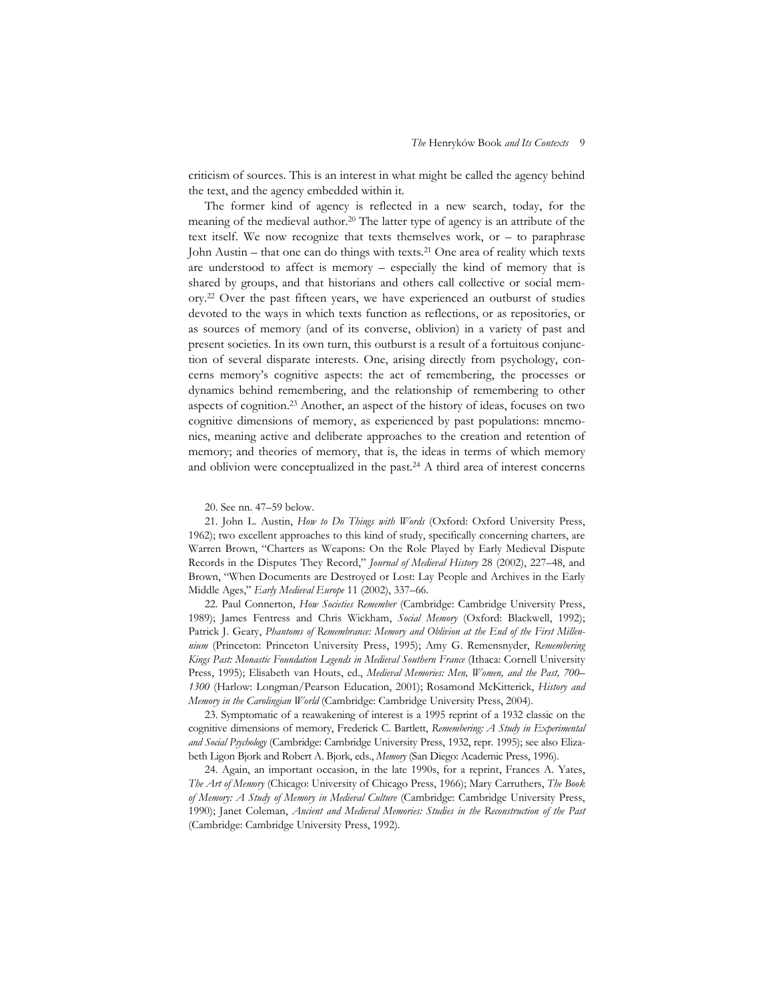criticism of sources. This is an interest in what might be called the agency behind the text, and the agency embedded within it.

The former kind of agency is reflected in a new search, today, for the meaning of the medieval author.20 The latter type of agency is an attribute of the text itself. We now recognize that texts themselves work, or – to paraphrase John Austin – that one can do things with texts.<sup>21</sup> One area of reality which texts are understood to affect is memory – especially the kind of memory that is shared by groups, and that historians and others call collective or social memory.22 Over the past fifteen years, we have experienced an outburst of studies devoted to the ways in which texts function as reflections, or as repositories, or as sources of memory (and of its converse, oblivion) in a variety of past and present societies. In its own turn, this outburst is a result of a fortuitous conjunction of several disparate interests. One, arising directly from psychology, concerns memory's cognitive aspects: the act of remembering, the processes or dynamics behind remembering, and the relationship of remembering to other aspects of cognition.23 Another, an aspect of the history of ideas, focuses on two cognitive dimensions of memory, as experienced by past populations: mnemonics, meaning active and deliberate approaches to the creation and retention of memory; and theories of memory, that is, the ideas in terms of which memory and oblivion were conceptualized in the past.24 A third area of interest concerns

20. See nn. 47–59 below.

21. John L. Austin, *How to Do Things with Words* (Oxford: Oxford University Press, 1962); two excellent approaches to this kind of study, specifically concerning charters, are Warren Brown, "Charters as Weapons: On the Role Played by Early Medieval Dispute Records in the Disputes They Record," *Journal of Medieval History* 28 (2002), 227–48, and Brown, "When Documents are Destroyed or Lost: Lay People and Archives in the Early Middle Ages," *Early Medieval Europe* 11 (2002), 337–66.

22. Paul Connerton, *How Societies Remember* (Cambridge: Cambridge University Press, 1989); James Fentress and Chris Wickham, *Social Memory* (Oxford: Blackwell, 1992); Patrick J. Geary, *Phantoms of Remembrance: Memory and Oblivion at the End of the First Millennium* (Princeton: Princeton University Press, 1995); Amy G. Remensnyder, *Remembering Kings Past: Monastic Foundation Legends in Medieval Southern France* (Ithaca: Cornell University Press, 1995); Elisabeth van Houts, ed., *Medieval Memories: Men, Women, and the Past, 700– 1300* (Harlow: Longman/Pearson Education, 2001); Rosamond McKitterick, *History and Memory in the Carolingian World* (Cambridge: Cambridge University Press, 2004).

23. Symptomatic of a reawakening of interest is a 1995 reprint of a 1932 classic on the cognitive dimensions of memory, Frederick C. Bartlett, *Remembering: A Study in Experimental and Social Psychology* (Cambridge: Cambridge University Press, 1932, repr. 1995); see also Elizabeth Ligon Bjork and Robert A. Bjork, eds., *Memory* (San Diego: Academic Press, 1996).

24. Again, an important occasion, in the late 1990s, for a reprint, Frances A. Yates, *The Art of Memory* (Chicago: University of Chicago Press, 1966); Mary Carruthers, *The Book of Memory: A Study of Memory in Medieval Culture* (Cambridge: Cambridge University Press, 1990); Janet Coleman, *Ancient and Medieval Memories: Studies in the Reconstruction of the Past* (Cambridge: Cambridge University Press, 1992).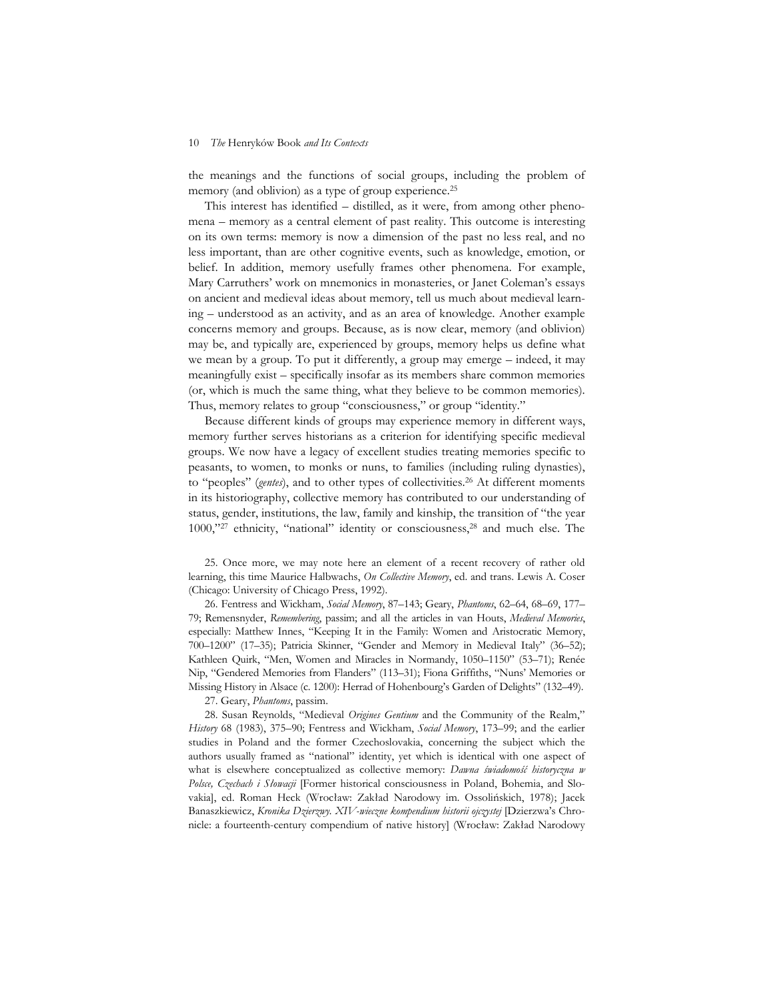the meanings and the functions of social groups, including the problem of memory (and oblivion) as a type of group experience.<sup>25</sup>

This interest has identified – distilled, as it were, from among other phenomena – memory as a central element of past reality. This outcome is interesting on its own terms: memory is now a dimension of the past no less real, and no less important, than are other cognitive events, such as knowledge, emotion, or belief. In addition, memory usefully frames other phenomena. For example, Mary Carruthers' work on mnemonics in monasteries, or Janet Coleman's essays on ancient and medieval ideas about memory, tell us much about medieval learning – understood as an activity, and as an area of knowledge. Another example concerns memory and groups. Because, as is now clear, memory (and oblivion) may be, and typically are, experienced by groups, memory helps us define what we mean by a group. To put it differently, a group may emerge – indeed, it may meaningfully exist – specifically insofar as its members share common memories (or, which is much the same thing, what they believe to be common memories). Thus, memory relates to group "consciousness," or group "identity."

Because different kinds of groups may experience memory in different ways, memory further serves historians as a criterion for identifying specific medieval groups. We now have a legacy of excellent studies treating memories specific to peasants, to women, to monks or nuns, to families (including ruling dynasties), to "peoples" (*gentes*), and to other types of collectivities.<sup>26</sup> At different moments in its historiography, collective memory has contributed to our understanding of status, gender, institutions, the law, family and kinship, the transition of "the year 1000,"<sup>27</sup> ethnicity, "national" identity or consciousness,<sup>28</sup> and much else. The

25. Once more, we may note here an element of a recent recovery of rather old learning, this time Maurice Halbwachs, *On Collective Memory*, ed. and trans. Lewis A. Coser (Chicago: University of Chicago Press, 1992).

26. Fentress and Wickham, *Social Memory*, 87–143; Geary, *Phantoms*, 62–64, 68–69, 177– 79; Remensnyder, *Remembering*, passim; and all the articles in van Houts, *Medieval Memories*, especially: Matthew Innes, "Keeping It in the Family: Women and Aristocratic Memory, 700–1200" (17–35); Patricia Skinner, "Gender and Memory in Medieval Italy" (36–52); Kathleen Quirk, "Men, Women and Miracles in Normandy, 1050–1150" (53–71); Renée Nip, "Gendered Memories from Flanders" (113–31); Fiona Griffiths, "Nuns' Memories or Missing History in Alsace (c. 1200): Herrad of Hohenbourg's Garden of Delights" (132–49).

27. Geary, *Phantoms*, passim.

28. Susan Reynolds, "Medieval *Origines Gentium* and the Community of the Realm," *History* 68 (1983), 375–90; Fentress and Wickham, *Social Memory*, 173–99; and the earlier studies in Poland and the former Czechoslovakia, concerning the subject which the authors usually framed as "national" identity, yet which is identical with one aspect of what is elsewhere conceptualized as collective memory: *Dawna świadomość historyczna w Polsce, Czechach i Słowacji* [Former historical consciousness in Poland, Bohemia, and Slovakia], ed. Roman Heck (Wrocław: Zakład Narodowy im. Ossolińskich, 1978); Jacek Banaszkiewicz, *Kronika Dzierzwy. XIV-wieczne kompendium historii ojczystej* [Dzierzwa's Chronicle: a fourteenth-century compendium of native history] (Wrocław: Zakład Narodowy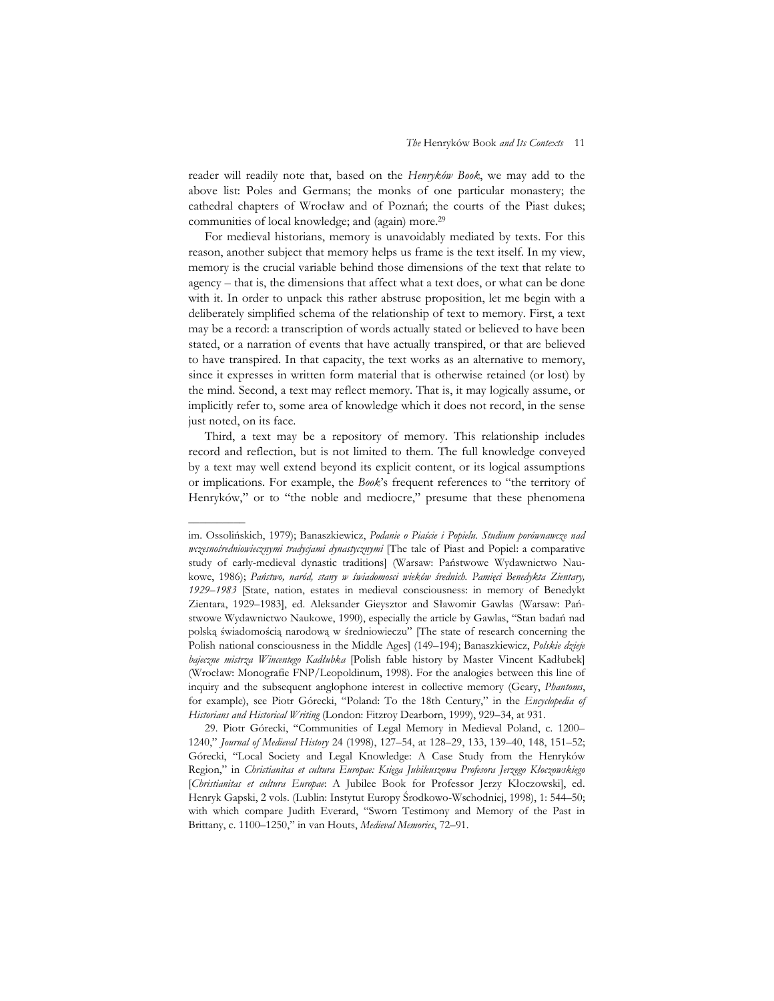reader will readily note that, based on the *Henryków Book*, we may add to the above list: Poles and Germans; the monks of one particular monastery; the cathedral chapters of Wrocław and of Poznań; the courts of the Piast dukes; communities of local knowledge; and (again) more.29

For medieval historians, memory is unavoidably mediated by texts. For this reason, another subject that memory helps us frame is the text itself. In my view, memory is the crucial variable behind those dimensions of the text that relate to agency – that is, the dimensions that affect what a text does, or what can be done with it. In order to unpack this rather abstruse proposition, let me begin with a deliberately simplified schema of the relationship of text to memory. First, a text may be a record: a transcription of words actually stated or believed to have been stated, or a narration of events that have actually transpired, or that are believed to have transpired. In that capacity, the text works as an alternative to memory, since it expresses in written form material that is otherwise retained (or lost) by the mind. Second, a text may reflect memory. That is, it may logically assume, or implicitly refer to, some area of knowledge which it does not record, in the sense just noted, on its face.

Third, a text may be a repository of memory. This relationship includes record and reflection, but is not limited to them. The full knowledge conveyed by a text may well extend beyond its explicit content, or its logical assumptions or implications. For example, the *Book*'s frequent references to "the territory of Henryków," or to "the noble and mediocre," presume that these phenomena

––––––––––

im. Ossolińskich, 1979); Banaszkiewicz, *Podanie o Piaście i Popielu. Studium porównawcze nad wczesnośredniowiecznymi tradycjami dynastycznymi* [The tale of Piast and Popiel: a comparative study of early-medieval dynastic traditions] (Warsaw: Państwowe Wydawnictwo Naukowe, 1986); *Państwo, naród, stany w świadomosci wieków średnich. Pamięci Benedykta Zientary, 1929–1983* [State, nation, estates in medieval consciousness: in memory of Benedykt Zientara, 1929–1983], ed. Aleksander Gieysztor and Sławomir Gawlas (Warsaw: Państwowe Wydawnictwo Naukowe, 1990), especially the article by Gawlas, "Stan badań nad polską świadomością narodową w średniowieczu" [The state of research concerning the Polish national consciousness in the Middle Ages] (149–194); Banaszkiewicz, *Polskie dzieje bajeczne mistrza Wincentego Kadłubka* [Polish fable history by Master Vincent Kadłubek] (Wrocław: Monografie FNP/Leopoldinum, 1998). For the analogies between this line of inquiry and the subsequent anglophone interest in collective memory (Geary, *Phantoms*, for example), see Piotr Górecki, "Poland: To the 18th Century," in the *Encyclopedia of Historians and Historical Writing* (London: Fitzroy Dearborn, 1999), 929–34, at 931.

<sup>29.</sup> Piotr Górecki, "Communities of Legal Memory in Medieval Poland, c. 1200– 1240," *Journal of Medieval History* 24 (1998), 127–54, at 128–29, 133, 139–40, 148, 151–52; Górecki, "Local Society and Legal Knowledge: A Case Study from the Henryków Region," in *Christianitas et cultura Europae: Księga Jubileuszowa Profesora Jerzego Kłoczowskiego* [*Christianitas et cultura Europae*: A Jubilee Book for Professor Jerzy Kłoczowski], ed. Henryk Gapski, 2 vols. (Lublin: Instytut Europy Środkowo-Wschodniej, 1998), 1: 544–50; with which compare Judith Everard, "Sworn Testimony and Memory of the Past in Brittany, c. 1100–1250," in van Houts, *Medieval Memories*, 72–91.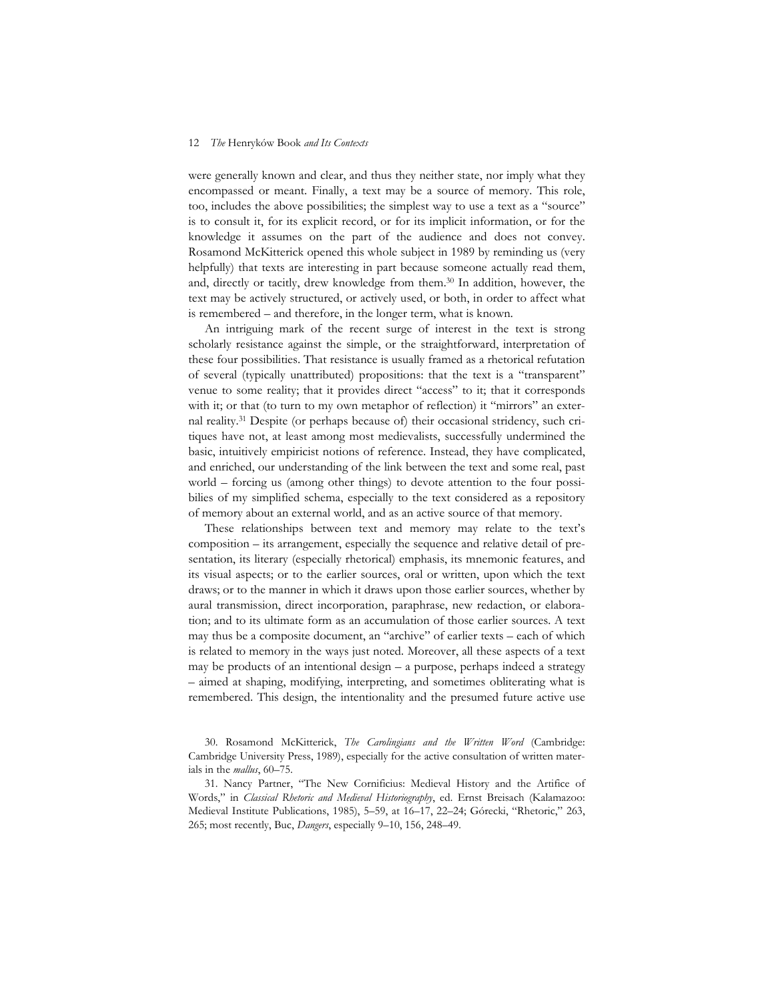were generally known and clear, and thus they neither state, nor imply what they encompassed or meant. Finally, a text may be a source of memory. This role, too, includes the above possibilities; the simplest way to use a text as a "source" is to consult it, for its explicit record, or for its implicit information, or for the knowledge it assumes on the part of the audience and does not convey. Rosamond McKitterick opened this whole subject in 1989 by reminding us (very helpfully) that texts are interesting in part because someone actually read them, and, directly or tacitly, drew knowledge from them.30 In addition, however, the text may be actively structured, or actively used, or both, in order to affect what is remembered – and therefore, in the longer term, what is known.

An intriguing mark of the recent surge of interest in the text is strong scholarly resistance against the simple, or the straightforward, interpretation of these four possibilities. That resistance is usually framed as a rhetorical refutation of several (typically unattributed) propositions: that the text is a "transparent" venue to some reality; that it provides direct "access" to it; that it corresponds with it; or that (to turn to my own metaphor of reflection) it "mirrors" an external reality.31 Despite (or perhaps because of) their occasional stridency, such critiques have not, at least among most medievalists, successfully undermined the basic, intuitively empiricist notions of reference. Instead, they have complicated, and enriched, our understanding of the link between the text and some real, past world – forcing us (among other things) to devote attention to the four possibilies of my simplified schema, especially to the text considered as a repository of memory about an external world, and as an active source of that memory.

These relationships between text and memory may relate to the text's composition – its arrangement, especially the sequence and relative detail of presentation, its literary (especially rhetorical) emphasis, its mnemonic features, and its visual aspects; or to the earlier sources, oral or written, upon which the text draws; or to the manner in which it draws upon those earlier sources, whether by aural transmission, direct incorporation, paraphrase, new redaction, or elaboration; and to its ultimate form as an accumulation of those earlier sources. A text may thus be a composite document, an "archive" of earlier texts – each of which is related to memory in the ways just noted. Moreover, all these aspects of a text may be products of an intentional design – a purpose, perhaps indeed a strategy – aimed at shaping, modifying, interpreting, and sometimes obliterating what is remembered. This design, the intentionality and the presumed future active use

<sup>30.</sup> Rosamond McKitterick, *The Carolingians and the Written Word* (Cambridge: Cambridge University Press, 1989), especially for the active consultation of written materials in the *mallus*, 60–75.

<sup>31.</sup> Nancy Partner, "The New Cornificius: Medieval History and the Artifice of Words," in *Classical Rhetoric and Medieval Historiography*, ed. Ernst Breisach (Kalamazoo: Medieval Institute Publications, 1985), 5–59, at 16–17, 22–24; Górecki, "Rhetoric," 263, 265; most recently, Buc, *Dangers*, especially 9–10, 156, 248–49.